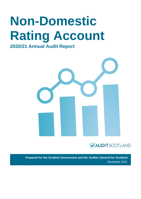# **Non-Domestic Rating Account 2020/21 Annual Audit Report**



**Prepared for the Scottish Government and the Auditor General for Scotland** December 2021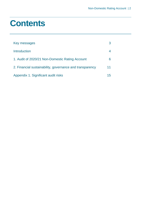### **Contents**

| Key messages                                             |    |
|----------------------------------------------------------|----|
| <b>Introduction</b>                                      |    |
| 1. Audit of 2020/21 Non-Domestic Rating Account          |    |
| 2. Financial sustainability, governance and transparency | 11 |
| Appendix 1. Significant audit risks                      | 15 |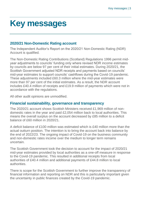### <span id="page-2-0"></span>**Key messages**

#### **2020/21 Non-Domestic Rating account**

The Independent Auditor's Report on the 2020/21 Non-Domestic Rating (NDR) Account is qualified.

The Non-Domestic Rating Contributions (Scotland) Regulations 1996 permit midyear adjustments to councils' funding only where revised NDR income estimates by councils are below 97 per cent of their initial estimates. During 2020/21, the Scottish Government adjusted NDR receipts and payments based on councils' mid-year estimates to support councils' cashflows during the Covid-19 pandemic. These adjustments included £60.3 million where the mid-year estimates were more than 97 per cent of the initial estimates. As a result, the NDR account includes £40.4 million of receipts and £19.9 million of payments which were not in accordance with the regulations.

All other audit opinions are unmodified.

#### **Financial sustainability, governance and transparency**

The 2020/21 account shows Scottish Ministers received £1,969 million of nondomestic rates in the year and paid £2,054 million back to local authorities. This means the overall surplus on the account decreased by £85 million to a deficit balance of £60 million in 2020/21.

A deficit balance of £100 million was estimated which is £40 million more than the actual outturn position. The intention is to bring the account back into balance by the end of 2022/23. The ongoing impact of Covid-19 on the business community and non-domestic rates income over the medium to longer term remains uncertain.

The Scottish Government took the decision to account for the impact of 2020/21 mid-year estimates provided by local authorities as a one-off measure in response to the Covid-19 pandemic. This resulted in additional receipts from local authorities of £40.4 million and additional payments of £44.8 million to local authorities.

There is scope for the Scottish Government to further improve the transparency of financial information and reporting on NDR and this is particularly important given the uncertainty in public finances created by the Covid-19 pandemic.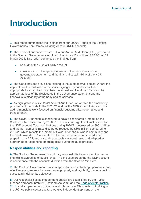### <span id="page-3-0"></span>**Introduction**

**1.** This report summarises the findings from our 2020/21 audit of the Scottish Government's Non-Domestic Rating Account (NDR account).

**2.** The scope of our audit was set out in our Annual Audit Plan (AAP) presented to the Scottish Government's Audit and Assurance Committee (SGAAC) on 22 March 2021. This report comprises the findings from:

- an audit of the 2020/21 NDR account
- consideration of the appropriateness of the disclosures in the governance statement and the financial sustainability of the NDR Account.

**3.** The Code includes provisions relating to the audit of small bodies. Where the application of the full wider audit scope is judged by auditors not to be appropriate to an audited body then the annual audit work can focus on the appropriateness of the disclosures in the governance statement and the financial sustainability of the body and its services.

**4.** As highlighted in our 2020/21 Annual Audit Plan, we applied the small body provisions of the Code to the 2020/21 audit of the NDR account. As such, our audit dimensions work focused on financial sustainability, governance and transparency.

**5.** The Covid-19 pandemic continued to have a considerable impact on the Scottish public sector during 2020/21. This has had significant implications for the NDR account. Total contributions during 2020/21 decreased by £951 million and the non-domestic rates distributed reduced by £865 million compared to 2019/20 which reflects the impact of Covid-19 on the business community and the reliefs awarded. Risks related to the pandemic were considered when preparing our AAP, and our audit approach was considered and adapted as appropriate to respond to emerging risks during the audit process.

#### **Responsibilities and reporting**

**6.** The Scottish Government has primary responsibility for ensuring the proper financial stewardship of public funds. This includes preparing the NDR account in accordance with the accounts direction from the Scottish Ministers.

**7.** The Scottish Government is also responsible for establishing appropriate and effective arrangements for governance, propriety and regularity, that enable it to successfully deliver its objectives.

**8.** Our responsibilities as independent auditor are established by the Public Finance and Accountability (Scotland) Act 2000 and the [Code of Audit Practice](https://www.audit-scotland.gov.uk/report/code-of-audit-practice-2016)  [2016,](https://www.audit-scotland.gov.uk/report/code-of-audit-practice-2016) and supplementary guidance and International Standards on Auditing in the UK. As public sector auditors we give independent opinions on the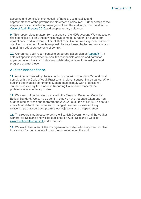accounts and conclusions on securing financial sustainability and appropriateness of the governance statement disclosures. Further details of the respective responsibilities of management and the auditor can be found in the [Code of Audit Practice 2016](http://auditscotland.spideronline.co.uk/report/code-of-audit-practice-2016) and supplementary guidance.

**9.** This report raises matters from our audit of the NDR account. Weaknesses or risks identified are only those which have come to our attention during our normal audit work and may not be all that exist. Communicating these does not absolve management from its responsibility to address the issues we raise and to maintain adequate systems of control.

**10.** Our annual audit report contains an agreed action plan at [Appendix 1.](#page-13-0) It sets out specific recommendations, the responsible officers and dates for implementation. It also includes any outstanding actions from last year and progress against these.

#### **Auditor Independence**

**11.** Auditors appointed by the Accounts Commission or Auditor General must comply with the Code of Audit Practice and relevant supporting guidance. When auditing the financial statements auditors must comply with professional standards issued by the Financial Reporting Council and those of the professional accountancy bodies.

**12.** We can confirm that we comply with the Financial Reporting Council's Ethical Standard. We can also confirm that we have not undertaken any nonaudit related services and therefore the 2020/21 audit fee of £11,630 as set out in our Annual Audit Plan remains unchanged. We are not aware of any relationships that could compromise our objectivity and independence.

**13.** This report is addressed to both the Scottish Government and the Auditor General for Scotland and will be published on Audit Scotland's website [www.audit-scotland.gov.uk](http://www.audit-scotland.gov.uk/) in due course.

**14.** We would like to thank the management and staff who have been involved in our work for their cooperation and assistance during the audit.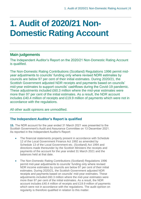## <span id="page-5-0"></span>**1. Audit of 2020/21 Non-Domestic Rating Account**

#### **Main judgements**

The Independent Auditor's Report on the 2020/21 Non-Domestic Rating Account is qualified.

The Non-Domestic Rating Contributions (Scotland) Regulations 1996 permit midyear adjustments to councils' funding only where revised NDRI estimates by councils are below 97 per cent of their initial estimates. During 2020/21, the Scottish Government adjusted NDR receipts and payments based on councils' mid-year estimates to support councils' cashflows during the Covid-19 pandemic. These adjustments included £60.3 million where the mid-year estimates were more than 97 per cent of the initial estimates. As a result, the NDR account includes £40.4 million of receipts and £19.9 million of payments which were not in accordance with the regulations.

All other audit opinions are unmodified.

#### **The Independent Auditor's Report is qualified**

**15.** The NDR account for the year ended 31 March 2021 was presented to the Scottish Government's Audit and Assurance Committee on 13 December 2021. As reported in the Independent Auditor's Report:

- The financial statements properly present in accordance with Schedule 12 of the Local Government Finance Act 1992 as amended by Schedule 13 of the Local Government etc. (Scotland) Act 1994 and directions made thereunder by the Scottish Ministers the receipts and payments of the account for the year ended 31 March 2021 and the balances held at that date.
- The Non-Domestic Rating Contributions (Scotland) Regulations 1996 permit mid-year adjustments to councils' funding only where revised NDR income estimates by councils are below 97 per cent of their initial estimates. During 2020/21, the Scottish Government adjusted NDR receipts and payments based on councils' mid-year estimates. These adjustments included £60.3 million where the mid-year estimates were more than 97 per cent of the initial estimates. As a result, the NDR account includes £40.4 million of receipts and £19.9 million of payments which were not in accordance with the regulations. The audit opinion on regularity is therefore qualified in relation to this matter.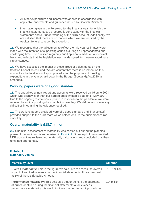- All other expenditure and income was applied in accordance with applicable enactments and guidance issued by Scottish Ministers
- Information given in the Foreword for the financial year for which the financial statements are prepared is consistent with the financial statements and our understanding of the NDR account. Additionally, we are satisfied that there are no matters which we are required by the Auditor General to report by exception.

**16.** We recognise that the adjustment to reflect the mid-year estimates were made with the intention of supporting councils during an unprecedented and challenging time. The qualified regularity audit opinion is made on a technical basis and reflects that the legislation was not designed for these extraordinary circumstances.

**17.** We have assessed the impact of these irregular adjustments on the Scottish Consolidated Fund. We are content that there is no impact on this account as the total amount appropriated is for the purposes of meeting expenditure in the year as laid down in the Budget (Scotland) Act 2020 as amended.

#### **Working papers were of a good standard**

**18.** The unaudited annual report and accounts were received on 15 June 2021 which was slightly later than our agreed audit timetable date of 31 May 2021. Due to the ongoing restrictions imposed in response to the pandemic, we were required to audit supporting documentation remotely. We did not encounter any difficulties in obtaining the evidence required.

**19.** The working papers provided were of a good standard and finance staff provided support to the audit team which helped ensure the audit process ran smoothly.

#### **Overall materiality is £18.7 million**

**20.** Our initial assessment of materiality was carried out during the planning phase of the audit and is summarised in [Exhibit](#page-6-0) 1. On receipt of the unaudited NDR account we reviewed our materiality calculations and concluded that they remained appropriate.

#### <span id="page-6-0"></span>**Exhibit 1 Materiality values**

| <b>Materiality level</b>                                                                                                                                                                                                          | <b>Amount</b> |
|-----------------------------------------------------------------------------------------------------------------------------------------------------------------------------------------------------------------------------------|---------------|
| <b>Overall materiality:</b> This is the figure we calculate to assess the overall<br>impact of audit adjustments on the financial statements. It has been set<br>at 1% of the Distributable Amount.                               | £18.7 million |
| <b>Performance materiality:</b> This acts as a trigger point. If the aggregate<br>of errors identified during the financial statements audit exceeds<br>performance materiality this would indicate that further audit procedures | £14 million   |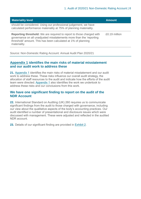| <b>Materiality level</b>                                                                                                                                                                                                            | <b>Amount</b> |
|-------------------------------------------------------------------------------------------------------------------------------------------------------------------------------------------------------------------------------------|---------------|
| should be considered. Using our professional judgement, we have<br>calculated performance materiality at 75% of planning materiality.                                                                                               |               |
| <b>Reporting threshold:</b> We are required to report to those charged with<br>governance on all unadjusted misstatements more than the 'reporting<br>threshold' amount. This has been calculated at 1% of planning<br>materiality. | £0.19 million |

Source: Non-Domestic Rating Account: Annual Audit Plan 2020/21

#### **[Appendix 1](#page-14-0) identifies the main risks of material misstatement and our audit work to address these**

**21.** [Appendix 1](#page-14-0) identifies the main risks of material misstatement and our audit work to address these. These risks influence our overall audit strategy, the allocation of staff resources to the audit and indicate how the efforts of the audit team were directed. [Appendix 1](#page-14-0) also identifies the work we undertook to address these risks and our conclusions from this work.

#### **We have one significant finding to report on the audit of the NDR Account**

**22.** International Standard on Auditing (UK) 260 requires us to communicate significant findings from the audit to those charged with governance, including our view about the qualitative aspects of the body's accounting practices. Our audit identified a number of presentational and disclosure issues which were discussed with management. These were adjusted and reflected in the audited NDR account.

<span id="page-7-0"></span>**23.** Details of our significant finding are provided in [Exhibit](#page-7-0) 2.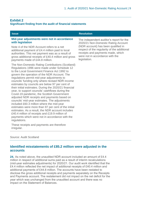#### **Exhibit 2**

#### **Significant finding from the audit of financial statements**

| <b>Issue</b>                                                                                                                                                                                                                                                                                                                                                                                                                                                                                                                                                                                                                                                                                                                                                                                                                                                                             | <b>Resolution</b>                           |  |
|------------------------------------------------------------------------------------------------------------------------------------------------------------------------------------------------------------------------------------------------------------------------------------------------------------------------------------------------------------------------------------------------------------------------------------------------------------------------------------------------------------------------------------------------------------------------------------------------------------------------------------------------------------------------------------------------------------------------------------------------------------------------------------------------------------------------------------------------------------------------------------------|---------------------------------------------|--|
| Mid-year adjustments were not in accordance                                                                                                                                                                                                                                                                                                                                                                                                                                                                                                                                                                                                                                                                                                                                                                                                                                              | The independent auditor's report for the    |  |
| with legislation                                                                                                                                                                                                                                                                                                                                                                                                                                                                                                                                                                                                                                                                                                                                                                                                                                                                         | 2020/21 Non-Domestic Rating Account         |  |
| Note 4 of the NDR Account refers to a net                                                                                                                                                                                                                                                                                                                                                                                                                                                                                                                                                                                                                                                                                                                                                                                                                                                | (NDR account) has been qualified in         |  |
| additional payment of £4.4 million paid to local                                                                                                                                                                                                                                                                                                                                                                                                                                                                                                                                                                                                                                                                                                                                                                                                                                         | respect of the regularity of the additional |  |
| authorities. This net payment was as a result of                                                                                                                                                                                                                                                                                                                                                                                                                                                                                                                                                                                                                                                                                                                                                                                                                                         | receipts and payments made, which           |  |
| gross additional receipts of £40.4 million and gross                                                                                                                                                                                                                                                                                                                                                                                                                                                                                                                                                                                                                                                                                                                                                                                                                                     | were not in accordance with the             |  |
| payments made of £44.8 million.                                                                                                                                                                                                                                                                                                                                                                                                                                                                                                                                                                                                                                                                                                                                                                                                                                                          | legislation.                                |  |
| The Non-Domestic Rating Contributions (Scotland)<br>Regulations 1996 were made under Schedule 12<br>to the Local Government Finance Act 1992 to<br>govern the operation of the NDR Account. The<br>regulations permit mid-year adjustments to<br>councils' funding only where revised NDR income<br>estimates by councils are below 97 per cent of<br>their initial estimates. During the 2020/21 financial<br>year, to support councils' cashflows during the<br>Covid-19 pandemic, the Scottish Government<br>adjusted NDR receipts and payments based on<br>councils' mid-year estimates. The adjustments<br>included £60.3 million where the mid-year<br>estimates were more than 97 per cent of the initial<br>estimates. As a result, the NDR account includes<br>£40.4 million of receipts and £19.9 million of<br>payments which were not in accordance with the<br>regulations. |                                             |  |

These receipts and payments are therefore

#### Source: Audit Scotland

irregular.

#### **Identified misstatements of £85.2 million were adjusted in the accounts**

**24.** As noted above, the unaudited NDR account included an amount of £4.4 million in respect of additional sums paid as a result of interim recalculations (mid-year estimates adjustments) for 2020/21. Our audit work identified that the £4.4 million reflected the net impact of additional receipts of £40.4 million and additional payments of £44.8 million. The accounts have been restated to disclose the gross additional receipts and payments separately on the Receipts and Payments account. The restatement did not impact on the net deficit for the year which was unchanged from the unaudited account and there was no impact on the Statement of Balances.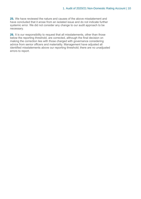**25.** We have reviewed the nature and causes of the above misstatement and have concluded that it arose from an isolated issue and do not indicate further systemic error. We did not consider any change to our audit approach to be necessary.

**26.** It is our responsibility to request that all misstatements, other than those below the reporting threshold, are corrected, although the final decision on making the correction lies with those charged with governance considering advice from senior officers and materiality. Management have adjusted all identified misstatements above our reporting threshold; there are no unadjusted errors to report.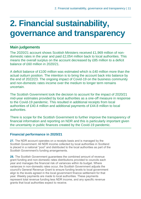## <span id="page-10-0"></span>**2. Financial sustainability, governance and transparency**

#### **Main judgements**

The 2020/21 account shows Scottish Ministers received £1,969 million of nondomestic rates in the year and paid £2,054 million back to local authorities. This means the overall surplus on the account decreased by £85 million to a deficit balance of £60 million in 2020/21.

A deficit balance of £100 million was estimated which is £40 million more than the actual outturn position. The intention is to bring the account back into balance by the end of 2022/23. The ongoing impact of Covid-19 on the business community and non-domestic rates income over the medium to longer term remains uncertain.

The Scottish Government took the decision to account for the impact of 2020/21 mid-year estimates provided by local authorities as a one-off measure in response to the Covid-19 pandemic. This resulted in additional receipts from local authorities of £40.4 million and additional payments of £44.8 million to local authorities.

There is scope for the Scottish Government to further improve the transparency of financial information and reporting on NDR and this is particularly important given the uncertainty in public finances created by the Covid-19 pandemic.

#### **Financial performance in 2020/21**

**27.** The NDR account operates on a receipts basis and is managed by the Scottish Government. All NDR income collected by local authorities in Scotland is placed in a national "pool" and distributed to the local authorities as part of the Scottish Government's funding arrangements.

**28.** The Scottish Government guarantees the combined amount of revenue grant funding and non-domestic rates distributions provided to councils each year and manages the financial risk of variances within its budget. Where variances in non-domestic rates occur, the Scottish Government adjusts the council's General Revenue Grant to ensure funding levels to local government align to the levels agreed in the local government finance settlement for that year. Weekly payments are made to local authorities. These payments represent total revenue funding less NDR income, and any specific revenue grants that local authorities expect to receive.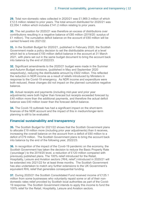**29.** Total non-domestic rates collected in 2020/21 was £1,969.3 million of which £12.5 million related to prior years. The total amount distributed for 2020/21 was £2,054.1 million which includes £141.2 million relating to prior years.

**30.** The net position for 2020/21 was therefore an excess of distributions over contributions resulting in a negative balance of £85 million (2019/20: surplus of £1 million). The cumulative deficit balance on the account of £60 million will be carried forward into 2021/22.

**31.** In the Scottish Budget for 2020/21, published in February 2020, the Scottish Government made a policy decision to set the distributable amount at a level which led to a forecast £100 million deficit balance in the account at 31 March 2021, with plans set out in the same budget document to bring the account back into balance by the end of 2022/23.

**32.** Significant amendments to the 2020/21 budget were made in the Summer and Autumn Budget revisions, (published in May and September 2020 respectively), reducing the distributable amount by £922 million. This reflected the reduction in NDR income as a result of reliefs introduced by Ministers in response to the Covid-19 emergency. As NDR income and expenditure were both reduced, these changes did not impact on the planned cumulative negative balance.

**33.** Actual receipts and payments (including mid-year and prior year adjustments) were both higher than forecast but receipts exceeded forecast by £40 million more than the additional payments, and therefore the actual deficit balance was £40 million lower than the forecast deficit balance.

**34.** The Covid-19 outbreak has had a significant impact on the short-term finances of the NDR account and the impact of this in medium/longer-term planning is still to be evaluated.

#### **Financial sustainability and transparency**

**35.** The Scottish Budget for 2021/22 shows that the Scottish Government plans to allocate £19 million more (including prior year adjustments) than it receives, increasing the overall balance on the account from a deficit of £60 million to a deficit of £79 million. The Scottish Government plans to bring the account back into balance by the end of the following year, 2022/23.

**36.** In recognition of the impact of the Covid-19 pandemic on the economy, the Scottish Government has taken the decision to reduce the Basic Property Rate ('poundage') to the 2019/20 level, a reduction of £120 million compared with previously published plans. The 100% relief introduced for the Retail, Hospitality, Leisure and Aviation sectors ('RHL relief') introduced in 2020/21 will be extended into 2021/22 for at least three months. The Scottish Government has also undertaken to match any further extensions to the UK Government's equivalent RHL relief that generates consequential funding.

**37.** During 2020/21 the Scottish Consolidated Fund received income of £125.1 million from some businesses who voluntarily repaid some or all of their nondomestic rates relief provided by Scottish local authorities as part of the Covid-19 response. The Scottish Government intends to apply this income to fund the 100% relief for the Retail, Hospitality, Leisure and Aviation sectors.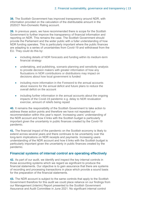**38.** The Scottish Government has improved transparency around NDR, with information provided on the calculation of the distributable amount in the 2020/21 Non-Domestic Rating account.

**39.** In previous years, we have recommended there is scope for the Scottish Government to further improve the transparency of financial information and reporting on NDR. This remains the case. The Scottish Government should provide the Parliament and the wider public with a fuller understanding of how NDR funding operates. This is particularly important where the public finances are adapting to a series of uncertainties from Covid-19 and withdrawal from the EU. They could do this by:

- including details of NDR forecasts and funding within its medium-term financial strategy
- undertaking, and publishing, scenario planning and sensitivity analysis to provide decision makers with greater information of how any fluctuations in NDR contributions or distributions may impact on decisions about how local government is funded
- including more information in the Foreword to the annual accounts about reasons for the annual deficit and future plans to reduce the overall deficit on the account
- including further information in the annual accounts about the ongoing impacts of the Covid-19 pandemic e.g. delay to NDR revaluation exercise, amount of reliefs being repaid

**40.** It remains the responsibility of the Scottish Government to take action to address these action points and therefore we have not repeated our recommendation within this year's report. Increasing users' understanding of the NDR account and how it links with the Scottish budget is particularly important given the uncertainty in public finances created by the Covid-19 pandemic.

**41.** The financial impact of the pandemic on the Scottish economy is likely to extend across several years and there continues to be uncertainty over the long-term implications on NDR receipts and payments. Increasing users understanding of the NDR account and how it links with the Scottish budget is particularly important given the uncertainty in public finances created by the pandemic.

#### **Financial systems of internal control are operating effectively**

**42.** As part of our audit, we identify and inspect the key internal controls in those accounting systems which we regard as significant to produce the financial statements. Our objective is to gain assurance that there are systems of recording and processing transactions in place which provide a sound basis for the preparation of the financial statements.

**43.** The NDR account is subject to the same controls that apply to the Scottish Government therefore for this audit we could place reliance on our findings from our Management (interim) Report presented to the Scottish Government Assurance and Audit Committee in June 2021. No significant internal control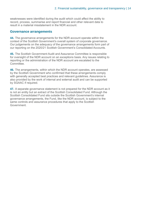weaknesses were identified during the audit which could affect the ability to record, process, summarise and report financial and other relevant data to result in a material misstatement in the NDR account.

#### **Governance arrangements**

**44.** The governance arrangements for the NDR account operate within the context of the Scottish Government's overall system of corporate governance. Our judgements on the adequacy of the governance arrangements form part of our reporting on the 2020/21 Scottish Government's Consolidated Accounts.

<span id="page-13-0"></span>**45.** The Scottish Government Audit and Assurance Committee is responsible for oversight of the NDR account on an exceptions basis. Any issues relating to reporting or the administration of the NDR account are escalated to the **Committee** 

**46.** The arrangements, within which the NDR account operates, are assessed by the Scottish Government who confirmed that these arrangements comply with generally accepted best practices and relevant guidelines. Assurance is also provided by the work of internal and external audit and can be supported by SGAAC if required.

**47.** A separate governance statement is not prepared for the NDR account as it is not an entity but an extract of the Scottish Consolidated Fund. Although the Scottish Consolidated Fund sits outside the Scottish Government's internal governance arrangements, the Fund, like the NDR account, is subject to the same controls and assurance procedures that apply to the Scottish Government.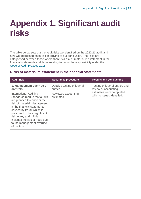### <span id="page-14-0"></span>**Appendix 1. Significant audit risks**

The table below sets out the audit risks we identified on the 2020/21 audit and how we addressed each risk in arriving at our conclusion. The risks are categorised between those where there is a risk of material misstatement in the financial statements and those relating to our wider responsibility under the [Code of Audit Practice 2016.](http://www.audit-scotland.gov.uk/report/code-of-audit-practice-2016)

#### **Risks of material misstatement in the financial statements**

| <b>Audit risk</b>                                                                                                                                                                                                                                                                                                              | <b>Assurance procedure</b>              | <b>Results and conclusions</b>                         |
|--------------------------------------------------------------------------------------------------------------------------------------------------------------------------------------------------------------------------------------------------------------------------------------------------------------------------------|-----------------------------------------|--------------------------------------------------------|
| 1. Management override of<br>controls                                                                                                                                                                                                                                                                                          | Detailed testing of journal<br>entries. | Testing of journal entries and<br>review of accounting |
| International Auditing<br>Standards require that audits<br>are planned to consider the<br>risk of material misstatement<br>in the financial statements<br>caused by fraud, which is<br>presumed to be a significant<br>risk in any audit. This<br>includes the risk of fraud due<br>to the management override<br>of controls. | Reviewed accounting<br>estimates.       | estimates were completed<br>with no issues identified. |